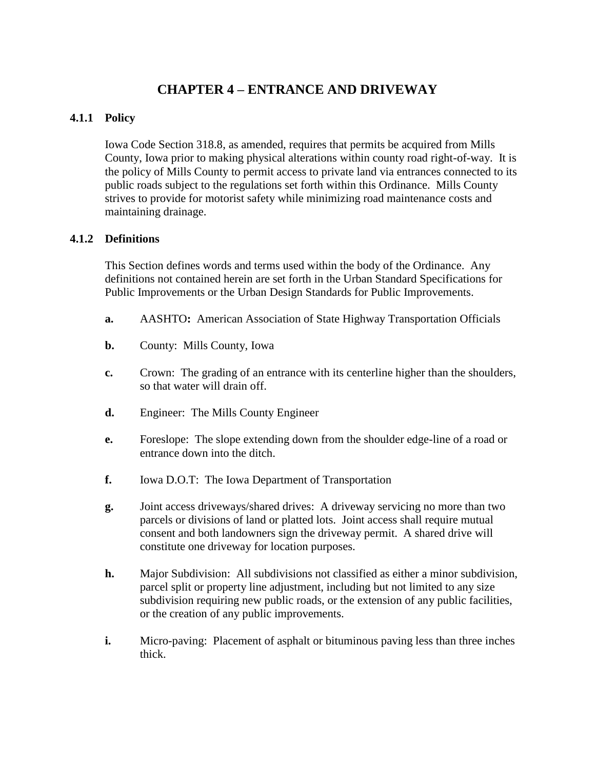# **CHAPTER 4 – ENTRANCE AND DRIVEWAY**

# **4.1.1 Policy**

Iowa Code Section 318.8, as amended, requires that permits be acquired from Mills County, Iowa prior to making physical alterations within county road right-of-way. It is the policy of Mills County to permit access to private land via entrances connected to its public roads subject to the regulations set forth within this Ordinance. Mills County strives to provide for motorist safety while minimizing road maintenance costs and maintaining drainage.

# **4.1.2 Definitions**

This Section defines words and terms used within the body of the Ordinance. Any definitions not contained herein are set forth in the Urban Standard Specifications for Public Improvements or the Urban Design Standards for Public Improvements.

- **a.** AASHTO**:** American Association of State Highway Transportation Officials
- **b.** County: Mills County, Iowa
- **c.** Crown: The grading of an entrance with its centerline higher than the shoulders, so that water will drain off.
- **d.** Engineer: The Mills County Engineer
- **e.** Foreslope: The slope extending down from the shoulder edge-line of a road or entrance down into the ditch.
- **f.** Iowa D.O.T: The Iowa Department of Transportation
- **g.** Joint access driveways/shared drives: A driveway servicing no more than two parcels or divisions of land or platted lots. Joint access shall require mutual consent and both landowners sign the driveway permit. A shared drive will constitute one driveway for location purposes.
- **h.** Major Subdivision: All subdivisions not classified as either a minor subdivision, parcel split or property line adjustment, including but not limited to any size subdivision requiring new public roads, or the extension of any public facilities, or the creation of any public improvements.
- **i.** Micro-paving: Placement of asphalt or bituminous paving less than three inches thick.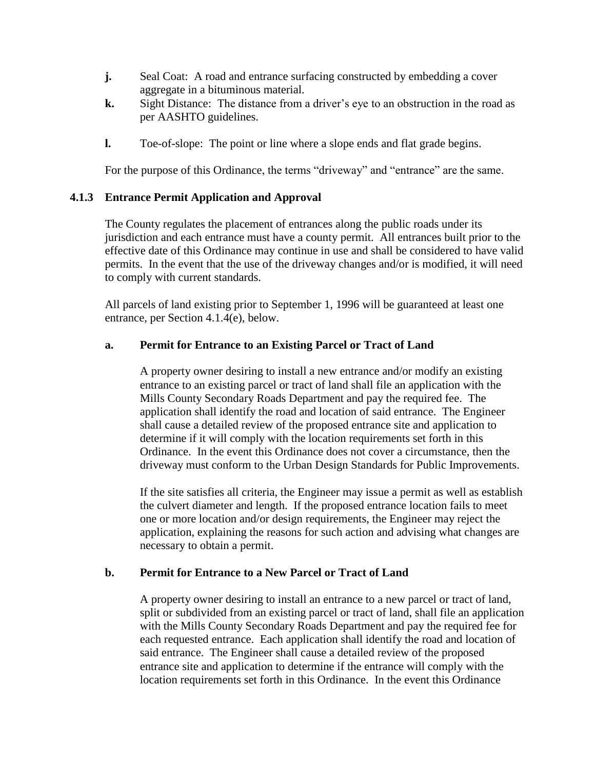- **j.** Seal Coat: A road and entrance surfacing constructed by embedding a cover aggregate in a bituminous material.
- **k.** Sight Distance: The distance from a driver's eye to an obstruction in the road as per AASHTO guidelines.
- **l.** Toe-of-slope: The point or line where a slope ends and flat grade begins.

For the purpose of this Ordinance, the terms "driveway" and "entrance" are the same.

# **4.1.3 Entrance Permit Application and Approval**

The County regulates the placement of entrances along the public roads under its jurisdiction and each entrance must have a county permit. All entrances built prior to the effective date of this Ordinance may continue in use and shall be considered to have valid permits. In the event that the use of the driveway changes and/or is modified, it will need to comply with current standards.

All parcels of land existing prior to September 1, 1996 will be guaranteed at least one entrance, per Section 4.1.4(e), below.

# **a. Permit for Entrance to an Existing Parcel or Tract of Land**

A property owner desiring to install a new entrance and/or modify an existing entrance to an existing parcel or tract of land shall file an application with the Mills County Secondary Roads Department and pay the required fee. The application shall identify the road and location of said entrance. The Engineer shall cause a detailed review of the proposed entrance site and application to determine if it will comply with the location requirements set forth in this Ordinance. In the event this Ordinance does not cover a circumstance, then the driveway must conform to the Urban Design Standards for Public Improvements.

If the site satisfies all criteria, the Engineer may issue a permit as well as establish the culvert diameter and length. If the proposed entrance location fails to meet one or more location and/or design requirements, the Engineer may reject the application, explaining the reasons for such action and advising what changes are necessary to obtain a permit.

# **b. Permit for Entrance to a New Parcel or Tract of Land**

A property owner desiring to install an entrance to a new parcel or tract of land, split or subdivided from an existing parcel or tract of land, shall file an application with the Mills County Secondary Roads Department and pay the required fee for each requested entrance. Each application shall identify the road and location of said entrance. The Engineer shall cause a detailed review of the proposed entrance site and application to determine if the entrance will comply with the location requirements set forth in this Ordinance. In the event this Ordinance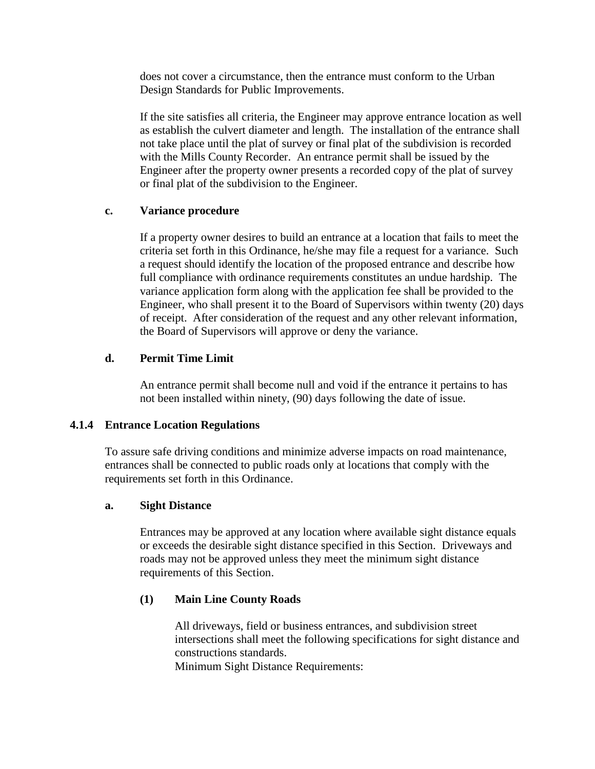does not cover a circumstance, then the entrance must conform to the Urban Design Standards for Public Improvements.

If the site satisfies all criteria, the Engineer may approve entrance location as well as establish the culvert diameter and length. The installation of the entrance shall not take place until the plat of survey or final plat of the subdivision is recorded with the Mills County Recorder. An entrance permit shall be issued by the Engineer after the property owner presents a recorded copy of the plat of survey or final plat of the subdivision to the Engineer.

### **c. Variance procedure**

If a property owner desires to build an entrance at a location that fails to meet the criteria set forth in this Ordinance, he/she may file a request for a variance. Such a request should identify the location of the proposed entrance and describe how full compliance with ordinance requirements constitutes an undue hardship. The variance application form along with the application fee shall be provided to the Engineer, who shall present it to the Board of Supervisors within twenty (20) days of receipt. After consideration of the request and any other relevant information, the Board of Supervisors will approve or deny the variance.

# **d. Permit Time Limit**

An entrance permit shall become null and void if the entrance it pertains to has not been installed within ninety, (90) days following the date of issue.

### **4.1.4 Entrance Location Regulations**

To assure safe driving conditions and minimize adverse impacts on road maintenance, entrances shall be connected to public roads only at locations that comply with the requirements set forth in this Ordinance.

### **a. Sight Distance**

Entrances may be approved at any location where available sight distance equals or exceeds the desirable sight distance specified in this Section. Driveways and roads may not be approved unless they meet the minimum sight distance requirements of this Section.

# **(1) Main Line County Roads**

All driveways, field or business entrances, and subdivision street intersections shall meet the following specifications for sight distance and constructions standards.

Minimum Sight Distance Requirements: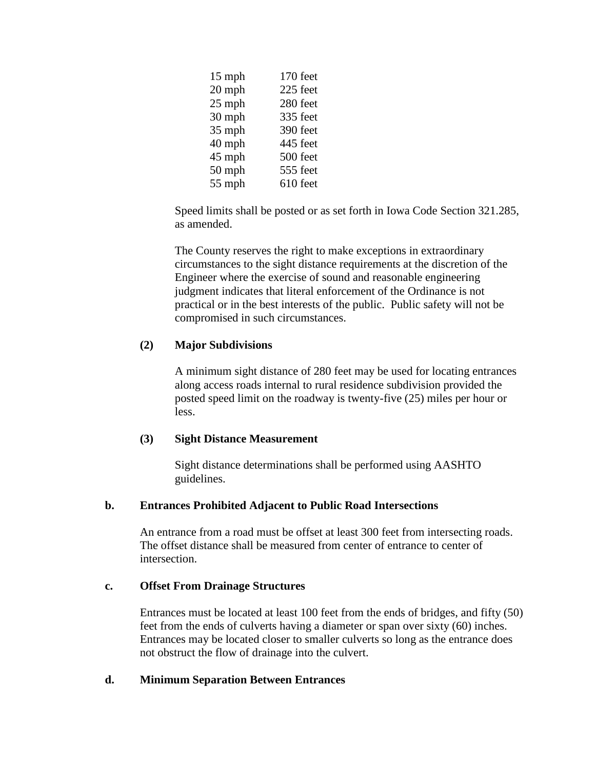| 15 mph   | 170 feet |
|----------|----------|
|          |          |
| 20 mph   | 225 feet |
| $25$ mph | 280 feet |
| 30 mph   | 335 feet |
| 35 mph   | 390 feet |
| 40 mph   | 445 feet |
| 45 mph   | 500 feet |
| 50 mph   | 555 feet |
| 55 mph   | 610 feet |

Speed limits shall be posted or as set forth in Iowa Code Section 321.285, as amended.

The County reserves the right to make exceptions in extraordinary circumstances to the sight distance requirements at the discretion of the Engineer where the exercise of sound and reasonable engineering judgment indicates that literal enforcement of the Ordinance is not practical or in the best interests of the public. Public safety will not be compromised in such circumstances.

# **(2) Major Subdivisions**

A minimum sight distance of 280 feet may be used for locating entrances along access roads internal to rural residence subdivision provided the posted speed limit on the roadway is twenty-five (25) miles per hour or less.

### **(3) Sight Distance Measurement**

Sight distance determinations shall be performed using AASHTO guidelines.

# **b. Entrances Prohibited Adjacent to Public Road Intersections**

An entrance from a road must be offset at least 300 feet from intersecting roads. The offset distance shall be measured from center of entrance to center of intersection.

### **c. Offset From Drainage Structures**

Entrances must be located at least 100 feet from the ends of bridges, and fifty (50) feet from the ends of culverts having a diameter or span over sixty (60) inches. Entrances may be located closer to smaller culverts so long as the entrance does not obstruct the flow of drainage into the culvert.

### **d. Minimum Separation Between Entrances**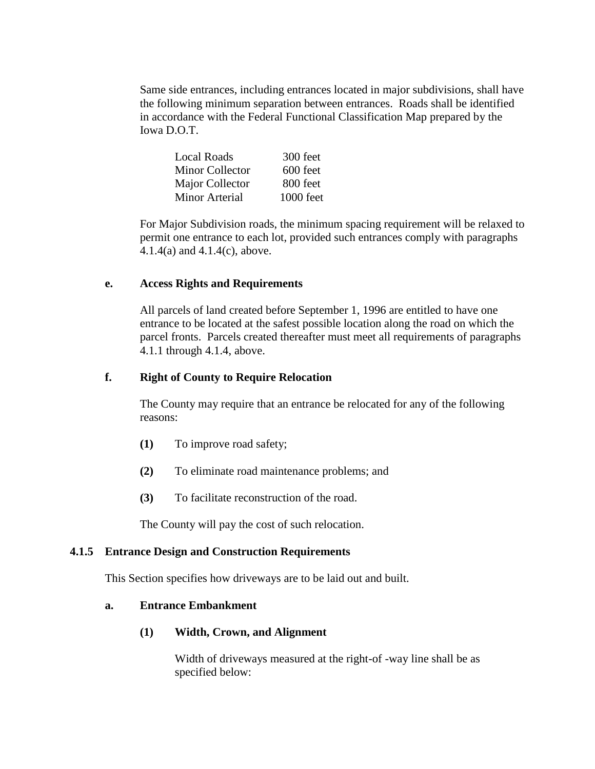Same side entrances, including entrances located in major subdivisions, shall have the following minimum separation between entrances. Roads shall be identified in accordance with the Federal Functional Classification Map prepared by the Iowa D.O.T.

| Local Roads            | 300 feet  |
|------------------------|-----------|
| <b>Minor Collector</b> | 600 feet  |
| Major Collector        | 800 feet  |
| <b>Minor Arterial</b>  | 1000 feet |

For Major Subdivision roads, the minimum spacing requirement will be relaxed to permit one entrance to each lot, provided such entrances comply with paragraphs 4.1.4(a) and 4.1.4(c), above.

### **e. Access Rights and Requirements**

All parcels of land created before September 1, 1996 are entitled to have one entrance to be located at the safest possible location along the road on which the parcel fronts. Parcels created thereafter must meet all requirements of paragraphs 4.1.1 through 4.1.4, above.

# **f. Right of County to Require Relocation**

The County may require that an entrance be relocated for any of the following reasons:

- **(1)** To improve road safety;
- **(2)** To eliminate road maintenance problems; and
- **(3)** To facilitate reconstruction of the road.

The County will pay the cost of such relocation.

### **4.1.5 Entrance Design and Construction Requirements**

This Section specifies how driveways are to be laid out and built.

### **a. Entrance Embankment**

# **(1) Width, Crown, and Alignment**

Width of driveways measured at the right-of -way line shall be as specified below: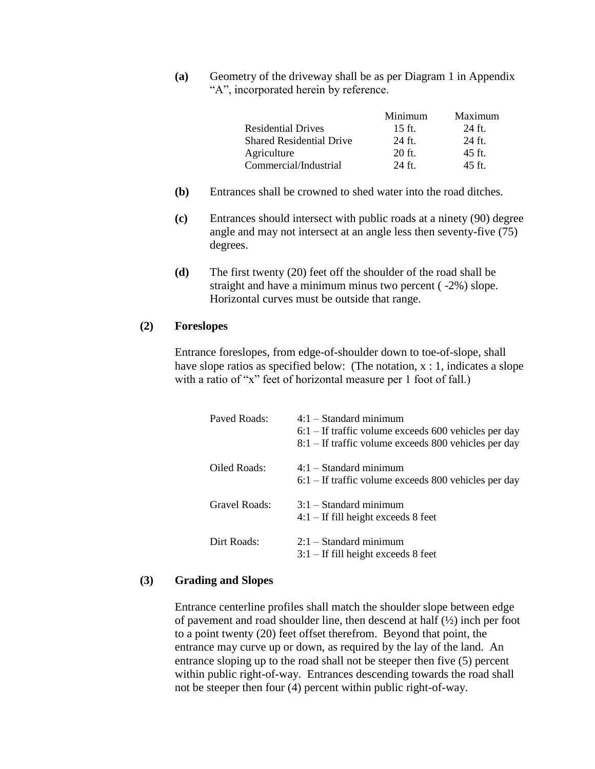**(a)** Geometry of the driveway shall be as per Diagram 1 in Appendix "A", incorporated herein by reference.

|                                 | Minimum  | Maximum  |
|---------------------------------|----------|----------|
| <b>Residential Drives</b>       | $15$ ft. | $24$ ft. |
| <b>Shared Residential Drive</b> | $24$ ft. | $24$ ft. |
| Agriculture                     | $20$ ft. | $45$ ft. |
| Commercial/Industrial           | $24$ ft. | $45$ ft. |

- **(b)** Entrances shall be crowned to shed water into the road ditches.
- **(c)** Entrances should intersect with public roads at a ninety (90) degree angle and may not intersect at an angle less then seventy-five (75) degrees.
- **(d)** The first twenty (20) feet off the shoulder of the road shall be straight and have a minimum minus two percent ( -2%) slope. Horizontal curves must be outside that range.

### **(2) Foreslopes**

Entrance foreslopes, from edge-of-shoulder down to toe-of-slope, shall have slope ratios as specified below: (The notation,  $x : 1$ , indicates a slope with a ratio of "x" feet of horizontal measure per 1 foot of fall.)

| Paved Roads:  | $4:1$ – Standard minimum<br>$6:1$ – If traffic volume exceeds 600 vehicles per day<br>$8:1$ – If traffic volume exceeds 800 vehicles per day |
|---------------|----------------------------------------------------------------------------------------------------------------------------------------------|
| Oiled Roads:  | $4:1 - Standard minimum$<br>$6:1$ – If traffic volume exceeds 800 vehicles per day                                                           |
| Gravel Roads: | $3:1$ – Standard minimum<br>$4:1$ – If fill height exceeds 8 feet                                                                            |
| Dirt Roads:   | $2:1$ – Standard minimum<br>$3:1$ – If fill height exceeds 8 feet                                                                            |

#### **(3) Grading and Slopes**

Entrance centerline profiles shall match the shoulder slope between edge of pavement and road shoulder line, then descend at half (½) inch per foot to a point twenty (20) feet offset therefrom. Beyond that point, the entrance may curve up or down, as required by the lay of the land. An entrance sloping up to the road shall not be steeper then five (5) percent within public right-of-way. Entrances descending towards the road shall not be steeper then four (4) percent within public right-of-way.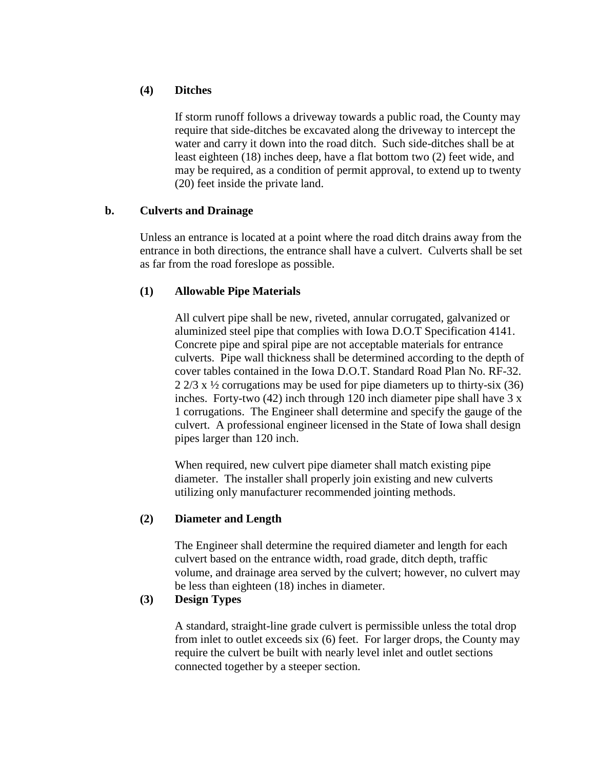# **(4) Ditches**

If storm runoff follows a driveway towards a public road, the County may require that side-ditches be excavated along the driveway to intercept the water and carry it down into the road ditch. Such side-ditches shall be at least eighteen (18) inches deep, have a flat bottom two (2) feet wide, and may be required, as a condition of permit approval, to extend up to twenty (20) feet inside the private land.

# **b. Culverts and Drainage**

Unless an entrance is located at a point where the road ditch drains away from the entrance in both directions, the entrance shall have a culvert. Culverts shall be set as far from the road foreslope as possible.

# **(1) Allowable Pipe Materials**

All culvert pipe shall be new, riveted, annular corrugated, galvanized or aluminized steel pipe that complies with Iowa D.O.T Specification 4141. Concrete pipe and spiral pipe are not acceptable materials for entrance culverts. Pipe wall thickness shall be determined according to the depth of cover tables contained in the Iowa D.O.T. Standard Road Plan No. RF-32.  $2\frac{2}{3}$  x  $\frac{1}{2}$  corrugations may be used for pipe diameters up to thirty-six (36) inches. Forty-two (42) inch through 120 inch diameter pipe shall have 3 x 1 corrugations. The Engineer shall determine and specify the gauge of the culvert. A professional engineer licensed in the State of Iowa shall design pipes larger than 120 inch.

When required, new culvert pipe diameter shall match existing pipe diameter. The installer shall properly join existing and new culverts utilizing only manufacturer recommended jointing methods.

# **(2) Diameter and Length**

The Engineer shall determine the required diameter and length for each culvert based on the entrance width, road grade, ditch depth, traffic volume, and drainage area served by the culvert; however, no culvert may be less than eighteen (18) inches in diameter.

# **(3) Design Types**

A standard, straight-line grade culvert is permissible unless the total drop from inlet to outlet exceeds six (6) feet. For larger drops, the County may require the culvert be built with nearly level inlet and outlet sections connected together by a steeper section.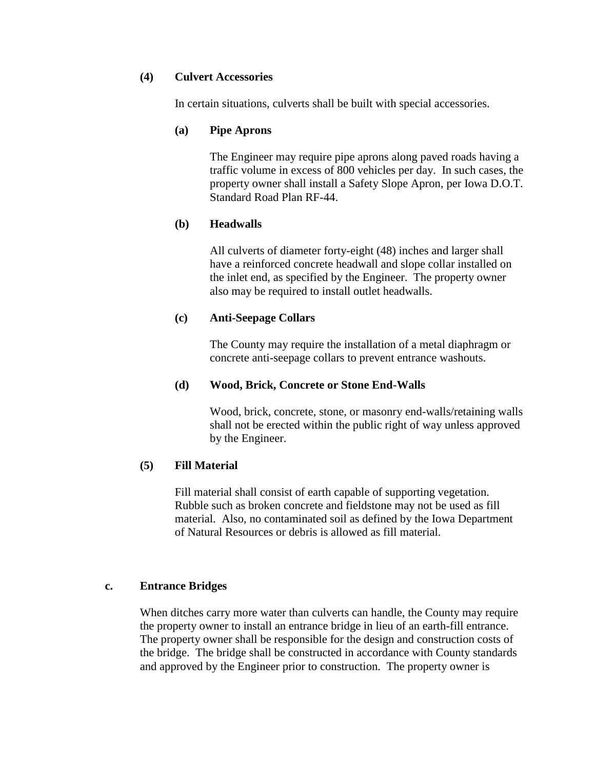### **(4) Culvert Accessories**

In certain situations, culverts shall be built with special accessories.

### **(a) Pipe Aprons**

The Engineer may require pipe aprons along paved roads having a traffic volume in excess of 800 vehicles per day. In such cases, the property owner shall install a Safety Slope Apron, per Iowa D.O.T. Standard Road Plan RF-44.

# **(b) Headwalls**

All culverts of diameter forty-eight (48) inches and larger shall have a reinforced concrete headwall and slope collar installed on the inlet end, as specified by the Engineer. The property owner also may be required to install outlet headwalls.

# **(c) Anti-Seepage Collars**

The County may require the installation of a metal diaphragm or concrete anti-seepage collars to prevent entrance washouts.

### **(d) Wood, Brick, Concrete or Stone End-Walls**

Wood, brick, concrete, stone, or masonry end-walls/retaining walls shall not be erected within the public right of way unless approved by the Engineer.

### **(5) Fill Material**

Fill material shall consist of earth capable of supporting vegetation. Rubble such as broken concrete and fieldstone may not be used as fill material. Also, no contaminated soil as defined by the Iowa Department of Natural Resources or debris is allowed as fill material.

### **c. Entrance Bridges**

When ditches carry more water than culverts can handle, the County may require the property owner to install an entrance bridge in lieu of an earth-fill entrance. The property owner shall be responsible for the design and construction costs of the bridge. The bridge shall be constructed in accordance with County standards and approved by the Engineer prior to construction. The property owner is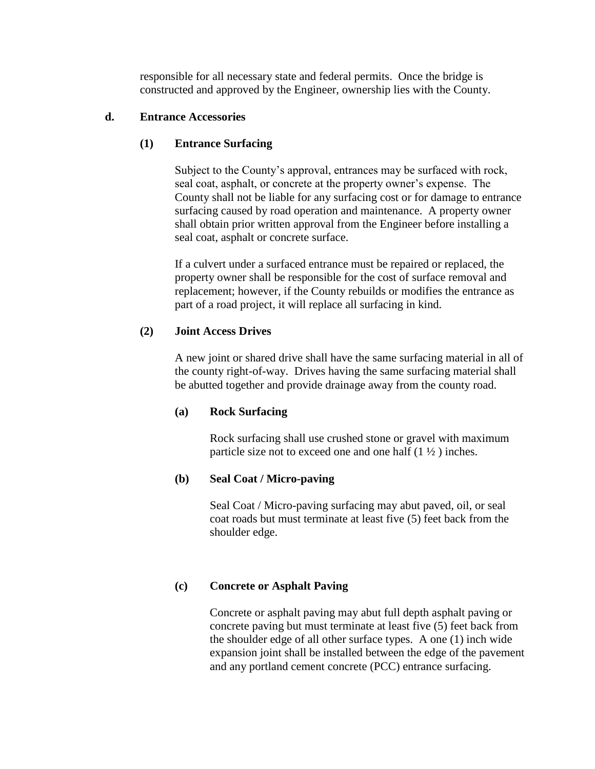responsible for all necessary state and federal permits. Once the bridge is constructed and approved by the Engineer, ownership lies with the County.

# **d. Entrance Accessories**

# **(1) Entrance Surfacing**

Subject to the County's approval, entrances may be surfaced with rock, seal coat, asphalt, or concrete at the property owner's expense. The County shall not be liable for any surfacing cost or for damage to entrance surfacing caused by road operation and maintenance. A property owner shall obtain prior written approval from the Engineer before installing a seal coat, asphalt or concrete surface.

If a culvert under a surfaced entrance must be repaired or replaced, the property owner shall be responsible for the cost of surface removal and replacement; however, if the County rebuilds or modifies the entrance as part of a road project, it will replace all surfacing in kind.

# **(2) Joint Access Drives**

A new joint or shared drive shall have the same surfacing material in all of the county right-of-way. Drives having the same surfacing material shall be abutted together and provide drainage away from the county road.

### **(a) Rock Surfacing**

Rock surfacing shall use crushed stone or gravel with maximum particle size not to exceed one and one half  $(1 \frac{1}{2})$  inches.

# **(b) Seal Coat / Micro-paving**

Seal Coat / Micro-paving surfacing may abut paved, oil, or seal coat roads but must terminate at least five (5) feet back from the shoulder edge.

# **(c) Concrete or Asphalt Paving**

Concrete or asphalt paving may abut full depth asphalt paving or concrete paving but must terminate at least five (5) feet back from the shoulder edge of all other surface types. A one (1) inch wide expansion joint shall be installed between the edge of the pavement and any portland cement concrete (PCC) entrance surfacing.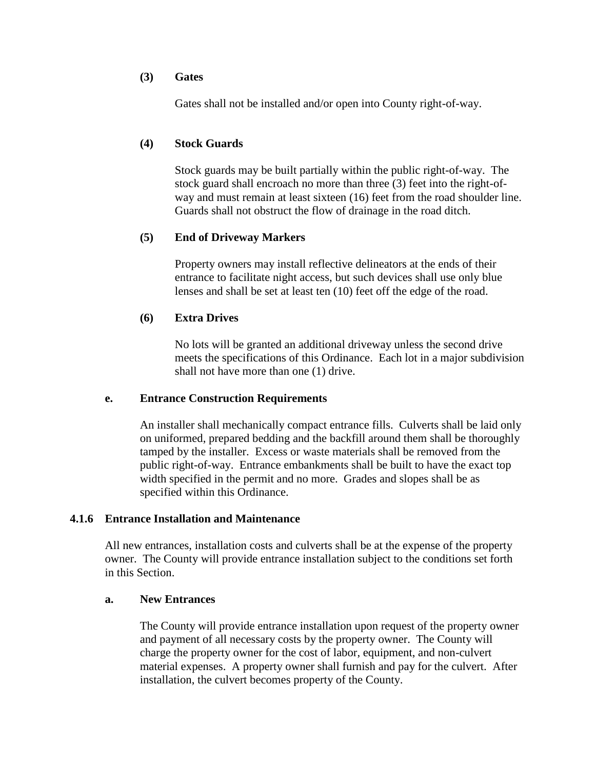### **(3) Gates**

Gates shall not be installed and/or open into County right-of-way.

# **(4) Stock Guards**

Stock guards may be built partially within the public right-of-way. The stock guard shall encroach no more than three (3) feet into the right-ofway and must remain at least sixteen (16) feet from the road shoulder line. Guards shall not obstruct the flow of drainage in the road ditch.

# **(5) End of Driveway Markers**

Property owners may install reflective delineators at the ends of their entrance to facilitate night access, but such devices shall use only blue lenses and shall be set at least ten (10) feet off the edge of the road.

# **(6) Extra Drives**

No lots will be granted an additional driveway unless the second drive meets the specifications of this Ordinance. Each lot in a major subdivision shall not have more than one (1) drive.

### **e. Entrance Construction Requirements**

An installer shall mechanically compact entrance fills. Culverts shall be laid only on uniformed, prepared bedding and the backfill around them shall be thoroughly tamped by the installer. Excess or waste materials shall be removed from the public right-of-way. Entrance embankments shall be built to have the exact top width specified in the permit and no more. Grades and slopes shall be as specified within this Ordinance.

### **4.1.6 Entrance Installation and Maintenance**

All new entrances, installation costs and culverts shall be at the expense of the property owner. The County will provide entrance installation subject to the conditions set forth in this Section.

### **a. New Entrances**

The County will provide entrance installation upon request of the property owner and payment of all necessary costs by the property owner. The County will charge the property owner for the cost of labor, equipment, and non-culvert material expenses. A property owner shall furnish and pay for the culvert. After installation, the culvert becomes property of the County.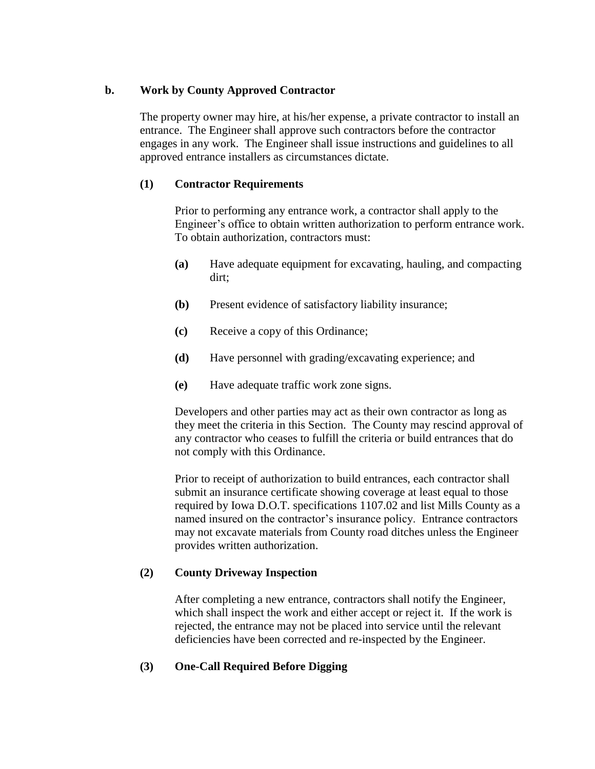# **b. Work by County Approved Contractor**

The property owner may hire, at his/her expense, a private contractor to install an entrance. The Engineer shall approve such contractors before the contractor engages in any work. The Engineer shall issue instructions and guidelines to all approved entrance installers as circumstances dictate.

# **(1) Contractor Requirements**

Prior to performing any entrance work, a contractor shall apply to the Engineer's office to obtain written authorization to perform entrance work. To obtain authorization, contractors must:

- **(a)** Have adequate equipment for excavating, hauling, and compacting dirt;
- **(b)** Present evidence of satisfactory liability insurance;
- **(c)** Receive a copy of this Ordinance;
- **(d)** Have personnel with grading/excavating experience; and
- **(e)** Have adequate traffic work zone signs.

Developers and other parties may act as their own contractor as long as they meet the criteria in this Section. The County may rescind approval of any contractor who ceases to fulfill the criteria or build entrances that do not comply with this Ordinance.

Prior to receipt of authorization to build entrances, each contractor shall submit an insurance certificate showing coverage at least equal to those required by Iowa D.O.T. specifications 1107.02 and list Mills County as a named insured on the contractor's insurance policy. Entrance contractors may not excavate materials from County road ditches unless the Engineer provides written authorization.

# **(2) County Driveway Inspection**

After completing a new entrance, contractors shall notify the Engineer, which shall inspect the work and either accept or reject it. If the work is rejected, the entrance may not be placed into service until the relevant deficiencies have been corrected and re-inspected by the Engineer.

# **(3) One-Call Required Before Digging**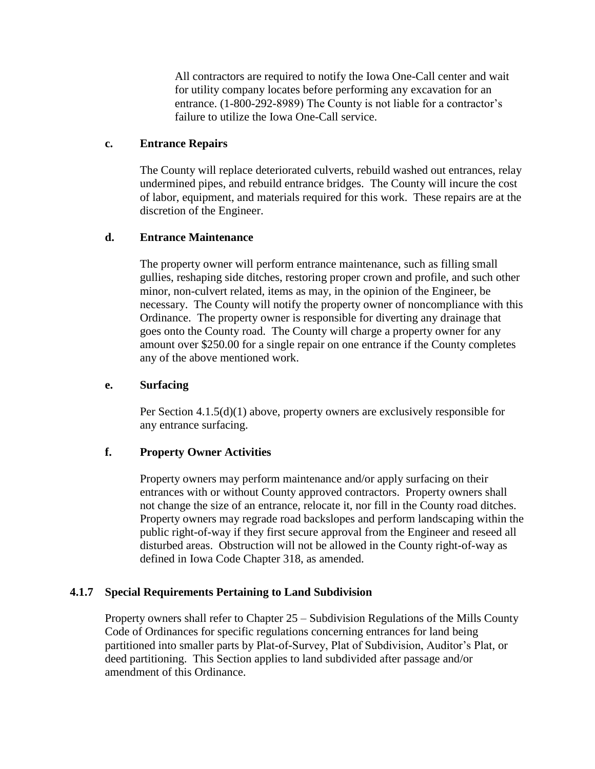All contractors are required to notify the Iowa One-Call center and wait for utility company locates before performing any excavation for an entrance. (1-800-292-8989) The County is not liable for a contractor's failure to utilize the Iowa One-Call service.

# **c. Entrance Repairs**

The County will replace deteriorated culverts, rebuild washed out entrances, relay undermined pipes, and rebuild entrance bridges. The County will incure the cost of labor, equipment, and materials required for this work. These repairs are at the discretion of the Engineer.

# **d. Entrance Maintenance**

The property owner will perform entrance maintenance, such as filling small gullies, reshaping side ditches, restoring proper crown and profile, and such other minor, non-culvert related, items as may, in the opinion of the Engineer, be necessary. The County will notify the property owner of noncompliance with this Ordinance. The property owner is responsible for diverting any drainage that goes onto the County road. The County will charge a property owner for any amount over \$250.00 for a single repair on one entrance if the County completes any of the above mentioned work.

### **e. Surfacing**

Per Section 4.1.5(d)(1) above, property owners are exclusively responsible for any entrance surfacing.

# **f. Property Owner Activities**

Property owners may perform maintenance and/or apply surfacing on their entrances with or without County approved contractors. Property owners shall not change the size of an entrance, relocate it, nor fill in the County road ditches. Property owners may regrade road backslopes and perform landscaping within the public right-of-way if they first secure approval from the Engineer and reseed all disturbed areas. Obstruction will not be allowed in the County right-of-way as defined in Iowa Code Chapter 318, as amended.

### **4.1.7 Special Requirements Pertaining to Land Subdivision**

Property owners shall refer to Chapter 25 – Subdivision Regulations of the Mills County Code of Ordinances for specific regulations concerning entrances for land being partitioned into smaller parts by Plat-of-Survey, Plat of Subdivision, Auditor's Plat, or deed partitioning. This Section applies to land subdivided after passage and/or amendment of this Ordinance.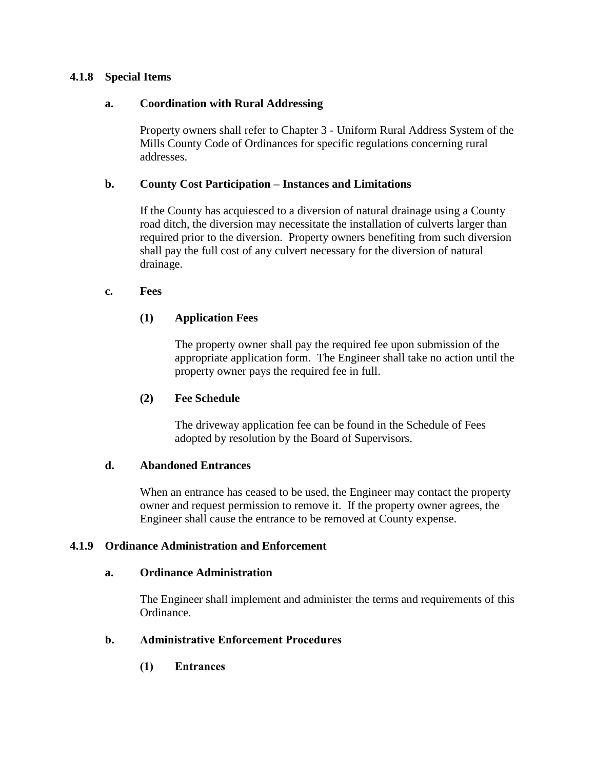# **4.1.8 Special Items**

# **a. Coordination with Rural Addressing**

Property owners shall refer to Chapter 3 - Uniform Rural Address System of the Mills County Code of Ordinances for specific regulations concerning rural addresses.

### **b. County Cost Participation – Instances and Limitations**

If the County has acquiesced to a diversion of natural drainage using a County road ditch, the diversion may necessitate the installation of culverts larger than required prior to the diversion. Property owners benefiting from such diversion shall pay the full cost of any culvert necessary for the diversion of natural drainage.

### **c. Fees**

# **(1) Application Fees**

The property owner shall pay the required fee upon submission of the appropriate application form. The Engineer shall take no action until the property owner pays the required fee in full.

### **(2) Fee Schedule**

The driveway application fee can be found in the Schedule of Fees adopted by resolution by the Board of Supervisors.

### **d. Abandoned Entrances**

When an entrance has ceased to be used, the Engineer may contact the property owner and request permission to remove it. If the property owner agrees, the Engineer shall cause the entrance to be removed at County expense.

### **4.1.9 Ordinance Administration and Enforcement**

#### **a. Ordinance Administration**

The Engineer shall implement and administer the terms and requirements of this Ordinance.

### **b. Administrative Enforcement Procedures**

**(1) Entrances**